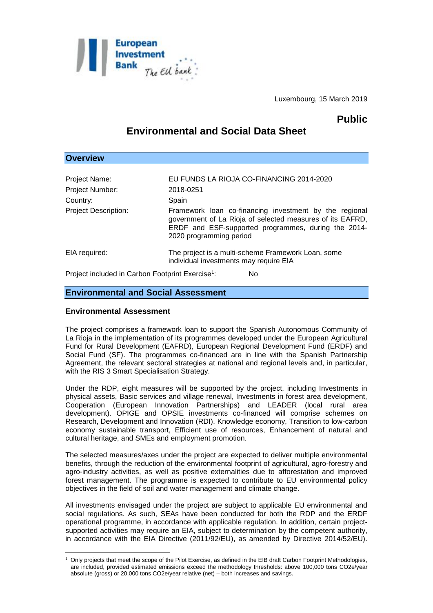

Luxembourg, 15 March 2019

## **Public**

# **Environmental and Social Data Sheet**

| <b>OVERVIEW</b>                                              |                                                                                                                                                                                                       |
|--------------------------------------------------------------|-------------------------------------------------------------------------------------------------------------------------------------------------------------------------------------------------------|
|                                                              |                                                                                                                                                                                                       |
| Project Name:                                                | EU FUNDS LA RIOJA CO-FINANCING 2014-2020                                                                                                                                                              |
| Project Number:                                              | 2018-0251                                                                                                                                                                                             |
| Country:                                                     | Spain                                                                                                                                                                                                 |
| <b>Project Description:</b>                                  | Framework loan co-financing investment by the regional<br>government of La Rioja of selected measures of its EAFRD,<br>ERDF and ESF-supported programmes, during the 2014-<br>2020 programming period |
| EIA required:                                                | The project is a multi-scheme Framework Loan, some<br>individual investments may require EIA                                                                                                          |
| Project included in Carbon Footprint Exercise <sup>1</sup> : | No                                                                                                                                                                                                    |

### **Environmental and Social Assessment**

#### **Environmental Assessment**

**Overview**

1

The project comprises a framework loan to support the Spanish Autonomous Community of La Rioja in the implementation of its programmes developed under the European Agricultural Fund for Rural Development (EAFRD), European Regional Development Fund (ERDF) and Social Fund (SF). The programmes co-financed are in line with the Spanish Partnership Agreement, the relevant sectoral strategies at national and regional levels and, in particular, with the RIS 3 Smart Specialisation Strategy.

Under the RDP, eight measures will be supported by the project, including Investments in physical assets, Basic services and village renewal, Investments in forest area development, Cooperation (European Innovation Partnerships) and LEADER (local rural area development). OPIGE and OPSIE investments co-financed will comprise schemes on Research, Development and Innovation (RDI), Knowledge economy, Transition to low-carbon economy sustainable transport, Efficient use of resources, Enhancement of natural and cultural heritage, and SMEs and employment promotion.

The selected measures/axes under the project are expected to deliver multiple environmental benefits, through the reduction of the environmental footprint of agricultural, agro-forestry and agro-industry activities, as well as positive externalities due to afforestation and improved forest management. The programme is expected to contribute to EU environmental policy objectives in the field of soil and water management and climate change.

All investments envisaged under the project are subject to applicable EU environmental and social regulations. As such, SEAs have been conducted for both the RDP and the ERDF operational programme, in accordance with applicable regulation. In addition, certain projectsupported activities may require an EIA, subject to determination by the competent authority, in accordance with the EIA Directive (2011/92/EU), as amended by Directive 2014/52/EU).

<sup>1</sup> Only projects that meet the scope of the Pilot Exercise, as defined in the EIB draft Carbon Footprint Methodologies, are included, provided estimated emissions exceed the methodology thresholds: above 100,000 tons CO2e/year absolute (gross) or 20,000 tons CO2e/year relative (net) – both increases and savings.